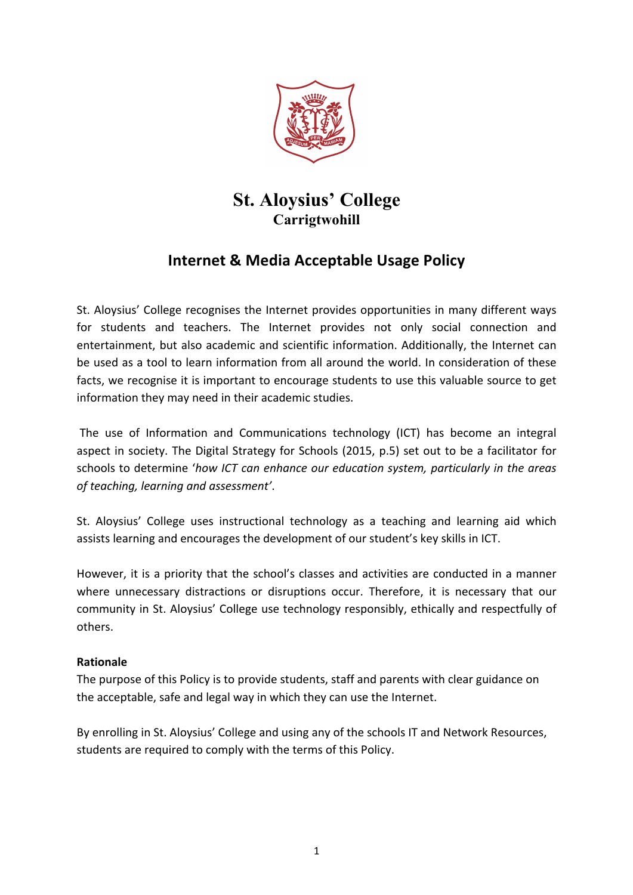

# **St. Aloysius' College Carrigtwohill**

## **Internet & Media Acceptable Usage Policy**

St. Aloysius' College recognises the Internet provides opportunities in many different ways for students and teachers. The Internet provides not only social connection and entertainment, but also academic and scientific information. Additionally, the Internet can be used as a tool to learn information from all around the world. In consideration of these facts, we recognise it is important to encourage students to use this valuable source to get information they may need in their academic studies.

The use of Information and Communications technology (ICT) has become an integral aspect in society. The Digital Strategy for Schools (2015, p.5) set out to be a facilitator for schools to determine 'how ICT can enhance our education system, particularly in the areas *of teaching, learning and assessment'*. 

St. Aloysius' College uses instructional technology as a teaching and learning aid which assists learning and encourages the development of our student's key skills in ICT.

However, it is a priority that the school's classes and activities are conducted in a manner where unnecessary distractions or disruptions occur. Therefore, it is necessary that our community in St. Aloysius' College use technology responsibly, ethically and respectfully of others.

## **Rationale**

The purpose of this Policy is to provide students, staff and parents with clear guidance on the acceptable, safe and legal way in which they can use the Internet.

By enrolling in St. Aloysius' College and using any of the schools IT and Network Resources, students are required to comply with the terms of this Policy.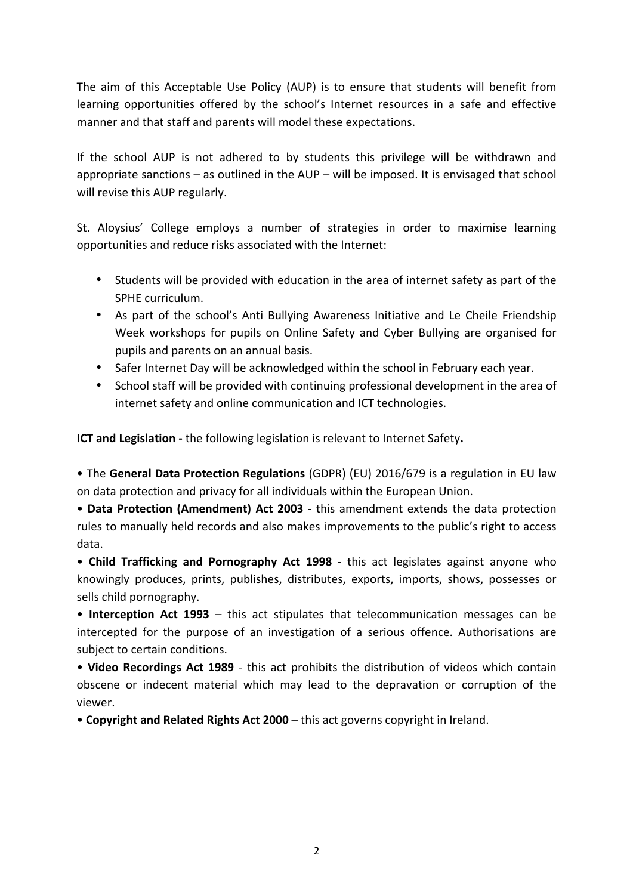The aim of this Acceptable Use Policy (AUP) is to ensure that students will benefit from learning opportunities offered by the school's Internet resources in a safe and effective manner and that staff and parents will model these expectations.

If the school AUP is not adhered to by students this privilege will be withdrawn and appropriate sanctions  $-$  as outlined in the AUP  $-$  will be imposed. It is envisaged that school will revise this AUP regularly.

St. Aloysius' College employs a number of strategies in order to maximise learning opportunities and reduce risks associated with the Internet:

- Students will be provided with education in the area of internet safety as part of the SPHE curriculum.
- As part of the school's Anti Bullying Awareness Initiative and Le Cheile Friendship Week workshops for pupils on Online Safety and Cyber Bullying are organised for pupils and parents on an annual basis.
- Safer Internet Day will be acknowledged within the school in February each year.
- School staff will be provided with continuing professional development in the area of internet safety and online communication and ICT technologies.

**ICT and Legislation** - the following legislation is relevant to Internet Safety.

• The **General Data Protection Regulations** (GDPR) (EU) 2016/679 is a regulation in EU law on data protection and privacy for all individuals within the European Union.

• Data Protection (Amendment) Act 2003 - this amendment extends the data protection rules to manually held records and also makes improvements to the public's right to access data.

• Child Trafficking and Pornography Act 1998 - this act legislates against anyone who knowingly produces, prints, publishes, distributes, exports, imports, shows, possesses or sells child pornography.

• Interception Act 1993 – this act stipulates that telecommunication messages can be intercepted for the purpose of an investigation of a serious offence. Authorisations are subject to certain conditions.

• Video Recordings Act 1989 - this act prohibits the distribution of videos which contain obscene or indecent material which may lead to the depravation or corruption of the viewer.

• **Copyright and Related Rights Act 2000** – this act governs copyright in Ireland.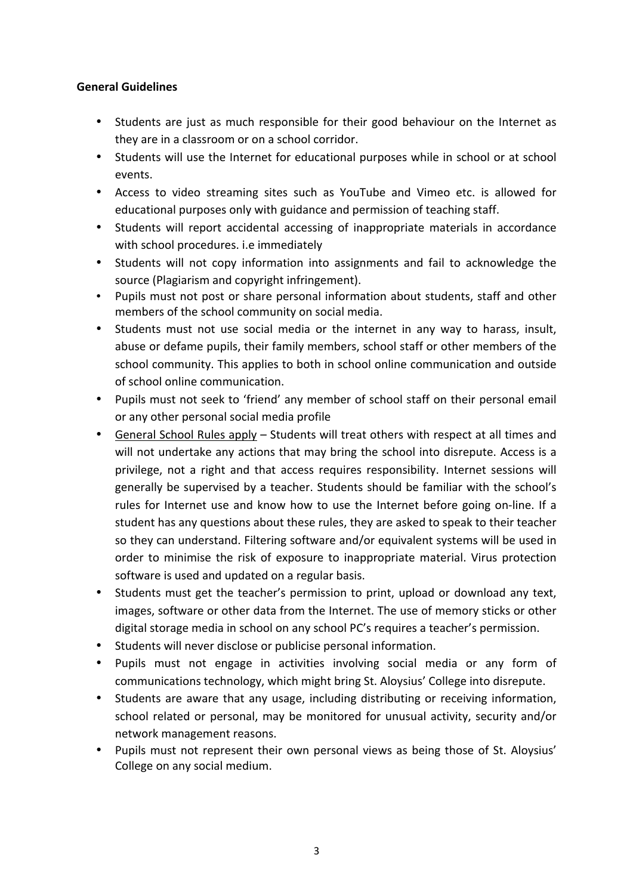#### **General Guidelines**

- Students are just as much responsible for their good behaviour on the Internet as they are in a classroom or on a school corridor.
- Students will use the Internet for educational purposes while in school or at school events.
- Access to video streaming sites such as YouTube and Vimeo etc. is allowed for educational purposes only with guidance and permission of teaching staff.
- Students will report accidental accessing of inappropriate materials in accordance with school procedures. i.e immediately
- Students will not copy information into assignments and fail to acknowledge the source (Plagiarism and copyright infringement).
- Pupils must not post or share personal information about students, staff and other members of the school community on social media.
- Students must not use social media or the internet in any way to harass, insult, abuse or defame pupils, their family members, school staff or other members of the school community. This applies to both in school online communication and outside of school online communication.
- Pupils must not seek to 'friend' any member of school staff on their personal email or any other personal social media profile
- General School Rules apply Students will treat others with respect at all times and will not undertake any actions that may bring the school into disrepute. Access is a privilege, not a right and that access requires responsibility. Internet sessions will generally be supervised by a teacher. Students should be familiar with the school's rules for Internet use and know how to use the Internet before going on-line. If a student has any questions about these rules, they are asked to speak to their teacher so they can understand. Filtering software and/or equivalent systems will be used in order to minimise the risk of exposure to inappropriate material. Virus protection software is used and updated on a regular basis.
- Students must get the teacher's permission to print, upload or download any text, images, software or other data from the Internet. The use of memory sticks or other digital storage media in school on any school PC's requires a teacher's permission.
- Students will never disclose or publicise personal information.
- Pupils must not engage in activities involving social media or any form of communications technology, which might bring St. Aloysius' College into disrepute.
- Students are aware that any usage, including distributing or receiving information, school related or personal, may be monitored for unusual activity, security and/or network management reasons.
- Pupils must not represent their own personal views as being those of St. Aloysius' College on any social medium.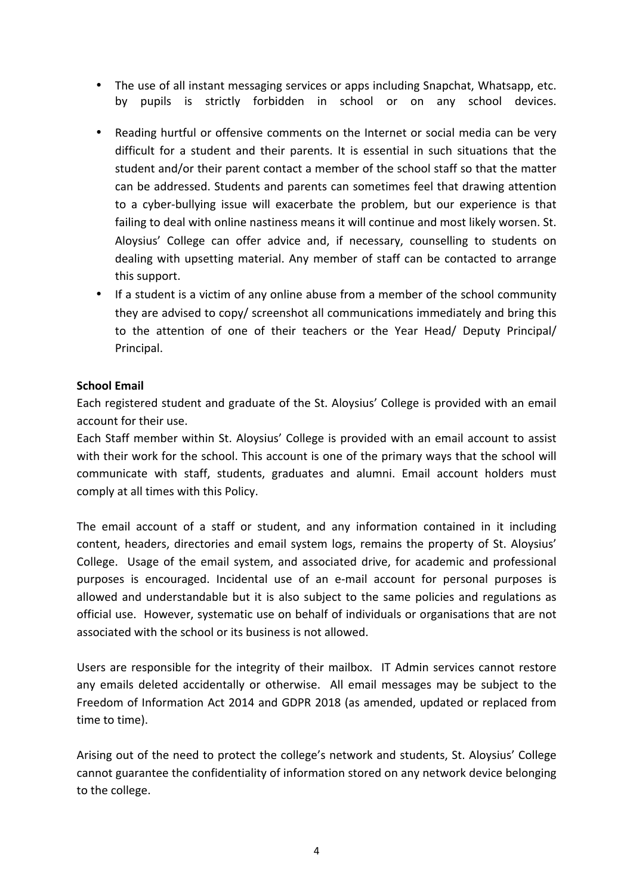- The use of all instant messaging services or apps including Snapchat, Whatsapp, etc. by pupils is strictly forbidden in school or on any school devices.
- Reading hurtful or offensive comments on the Internet or social media can be very difficult for a student and their parents. It is essential in such situations that the student and/or their parent contact a member of the school staff so that the matter can be addressed. Students and parents can sometimes feel that drawing attention to a cyber-bullying issue will exacerbate the problem, but our experience is that failing to deal with online nastiness means it will continue and most likely worsen. St. Aloysius' College can offer advice and, if necessary, counselling to students on dealing with upsetting material. Any member of staff can be contacted to arrange this support.
- If a student is a victim of any online abuse from a member of the school community they are advised to copy/ screenshot all communications immediately and bring this to the attention of one of their teachers or the Year Head/ Deputy Principal/ Principal.

#### **School Email**

Each registered student and graduate of the St. Aloysius' College is provided with an email account for their use.

Each Staff member within St. Aloysius' College is provided with an email account to assist with their work for the school. This account is one of the primary ways that the school will communicate with staff, students, graduates and alumni. Email account holders must comply at all times with this Policy.

The email account of a staff or student, and any information contained in it including content, headers, directories and email system logs, remains the property of St. Aloysius' College. Usage of the email system, and associated drive, for academic and professional purposes is encouraged. Incidental use of an e-mail account for personal purposes is allowed and understandable but it is also subject to the same policies and regulations as official use. However, systematic use on behalf of individuals or organisations that are not associated with the school or its business is not allowed.

Users are responsible for the integrity of their mailbox. IT Admin services cannot restore any emails deleted accidentally or otherwise. All email messages may be subject to the Freedom of Information Act 2014 and GDPR 2018 (as amended, updated or replaced from time to time).

Arising out of the need to protect the college's network and students, St. Aloysius' College cannot guarantee the confidentiality of information stored on any network device belonging to the college.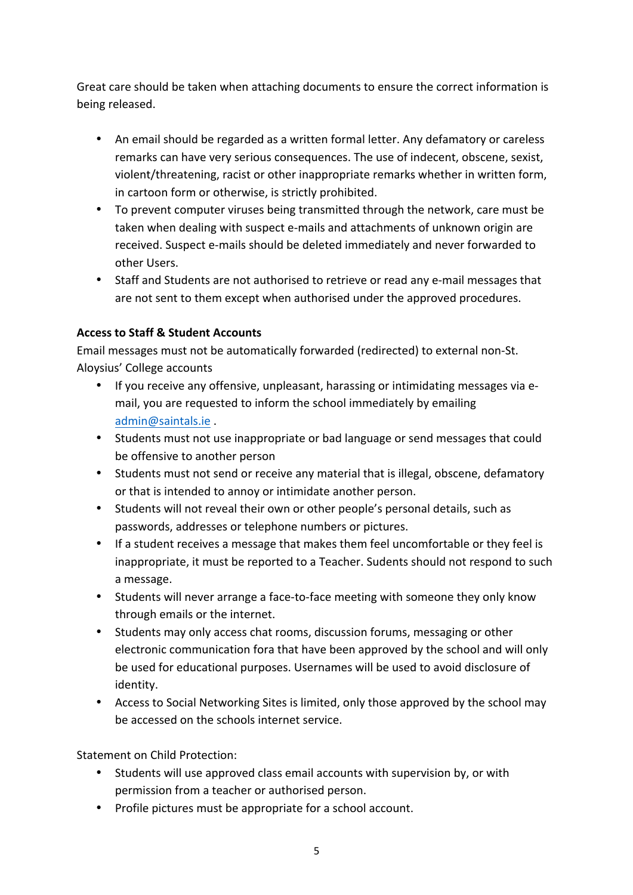Great care should be taken when attaching documents to ensure the correct information is being released.

- An email should be regarded as a written formal letter. Any defamatory or careless remarks can have very serious consequences. The use of indecent, obscene, sexist, violent/threatening, racist or other inappropriate remarks whether in written form. in cartoon form or otherwise, is strictly prohibited.
- To prevent computer viruses being transmitted through the network, care must be taken when dealing with suspect e-mails and attachments of unknown origin are received. Suspect e-mails should be deleted immediately and never forwarded to other Users.
- Staff and Students are not authorised to retrieve or read any e-mail messages that are not sent to them except when authorised under the approved procedures.

## **Access to Staff & Student Accounts**

Email messages must not be automatically forwarded (redirected) to external non-St. Aloysius' College accounts

- If you receive any offensive, unpleasant, harassing or intimidating messages via email, you are requested to inform the school immediately by emailing admin@saintals.ie .
- Students must not use inappropriate or bad language or send messages that could be offensive to another person
- Students must not send or receive any material that is illegal, obscene, defamatory or that is intended to annoy or intimidate another person.
- Students will not reveal their own or other people's personal details, such as passwords, addresses or telephone numbers or pictures.
- If a student receives a message that makes them feel uncomfortable or they feel is inappropriate, it must be reported to a Teacher. Sudents should not respond to such a message.
- Students will never arrange a face-to-face meeting with someone they only know through emails or the internet.
- Students may only access chat rooms, discussion forums, messaging or other electronic communication fora that have been approved by the school and will only be used for educational purposes. Usernames will be used to avoid disclosure of identity.
- Access to Social Networking Sites is limited, only those approved by the school may be accessed on the schools internet service.

Statement on Child Protection:

- Students will use approved class email accounts with supervision by, or with permission from a teacher or authorised person.
- Profile pictures must be appropriate for a school account.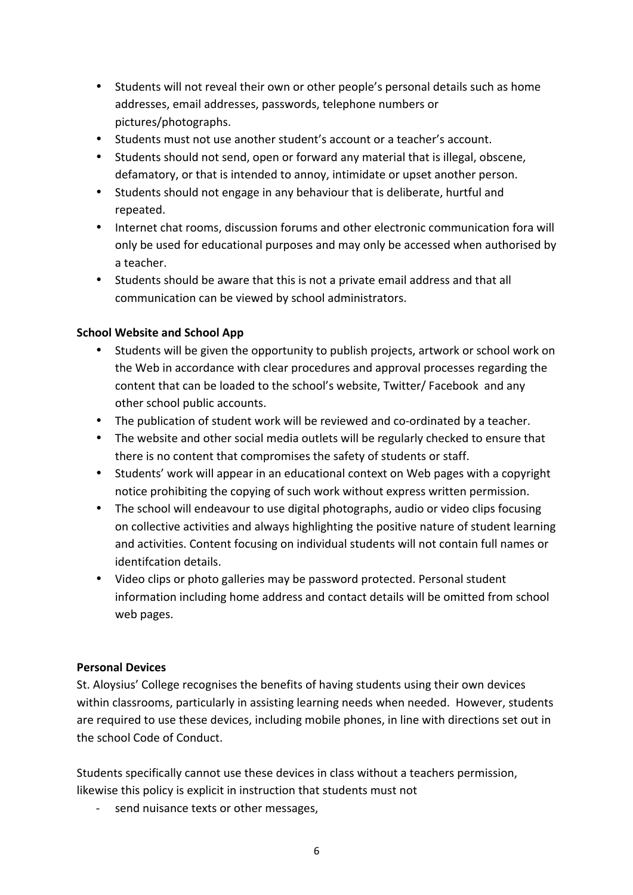- Students will not reveal their own or other people's personal details such as home addresses, email addresses, passwords, telephone numbers or pictures/photographs.
- Students must not use another student's account or a teacher's account.
- Students should not send, open or forward any material that is illegal, obscene, defamatory, or that is intended to annoy, intimidate or upset another person.
- Students should not engage in any behaviour that is deliberate, hurtful and repeated.
- Internet chat rooms, discussion forums and other electronic communication fora will only be used for educational purposes and may only be accessed when authorised by a teacher.
- Students should be aware that this is not a private email address and that all communication can be viewed by school administrators.

#### **School Website and School App**

- Students will be given the opportunity to publish projects, artwork or school work on the Web in accordance with clear procedures and approval processes regarding the content that can be loaded to the school's website, Twitter/ Facebook and any other school public accounts.
- The publication of student work will be reviewed and co-ordinated by a teacher.
- The website and other social media outlets will be regularly checked to ensure that there is no content that compromises the safety of students or staff.
- Students' work will appear in an educational context on Web pages with a copyright notice prohibiting the copying of such work without express written permission.
- The school will endeavour to use digital photographs, audio or video clips focusing on collective activities and always highlighting the positive nature of student learning and activities. Content focusing on individual students will not contain full names or identifcation details.
- Video clips or photo galleries may be password protected. Personal student information including home address and contact details will be omitted from school web pages.

#### **Personal Devices**

St. Aloysius' College recognises the benefits of having students using their own devices within classrooms, particularly in assisting learning needs when needed. However, students are required to use these devices, including mobile phones, in line with directions set out in the school Code of Conduct.

Students specifically cannot use these devices in class without a teachers permission, likewise this policy is explicit in instruction that students must not

send nuisance texts or other messages,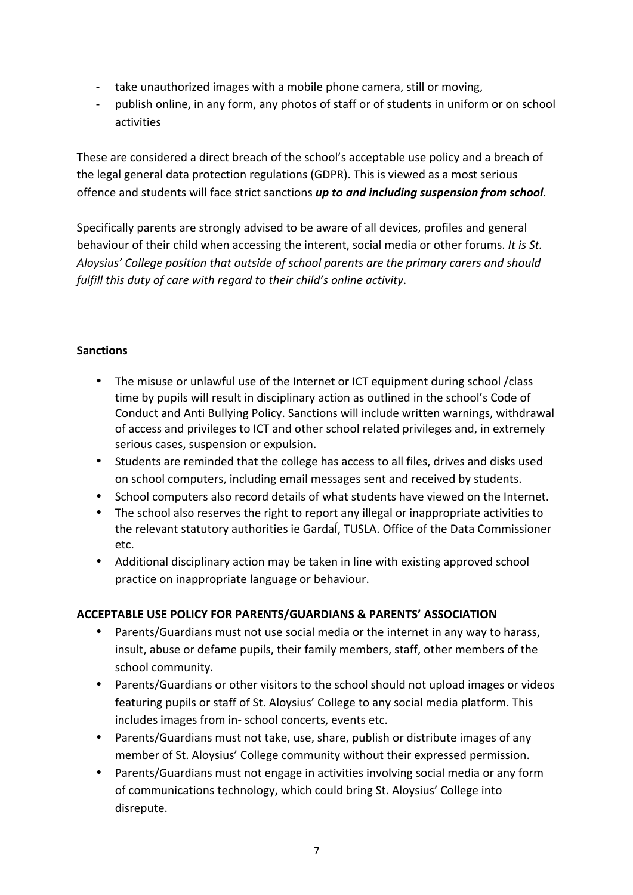- take unauthorized images with a mobile phone camera, still or moving,
- publish online, in any form, any photos of staff or of students in uniform or on school activities

These are considered a direct breach of the school's acceptable use policy and a breach of the legal general data protection regulations (GDPR). This is viewed as a most serious offence and students will face strict sanctions **up to and including suspension from school**.

Specifically parents are strongly advised to be aware of all devices, profiles and general behaviour of their child when accessing the interent, social media or other forums. *It is St.* Aloysius' College position that outside of school parents are the primary carers and should *fulfill* this duty of care with regard to their child's online activity.

#### **Sanctions**

- The misuse or unlawful use of the Internet or ICT equipment during school /class time by pupils will result in disciplinary action as outlined in the school's Code of Conduct and Anti Bullying Policy. Sanctions will include written warnings, withdrawal of access and privileges to ICT and other school related privileges and, in extremely serious cases, suspension or expulsion.
- Students are reminded that the college has access to all files, drives and disks used on school computers, including email messages sent and received by students.
- School computers also record details of what students have viewed on the Internet.
- The school also reserves the right to report any illegal or inappropriate activities to the relevant statutory authorities ie GardaÍ, TUSLA. Office of the Data Commissioner etc.
- Additional disciplinary action may be taken in line with existing approved school practice on inappropriate language or behaviour.

#### **ACCEPTABLE USE POLICY FOR PARENTS/GUARDIANS & PARENTS' ASSOCIATION**

- Parents/Guardians must not use social media or the internet in any way to harass, insult, abuse or defame pupils, their family members, staff, other members of the school community.
- Parents/Guardians or other visitors to the school should not upload images or videos featuring pupils or staff of St. Aloysius' College to any social media platform. This includes images from in- school concerts, events etc.
- Parents/Guardians must not take, use, share, publish or distribute images of any member of St. Aloysius' College community without their expressed permission.
- Parents/Guardians must not engage in activities involving social media or any form of communications technology, which could bring St. Aloysius' College into disrepute.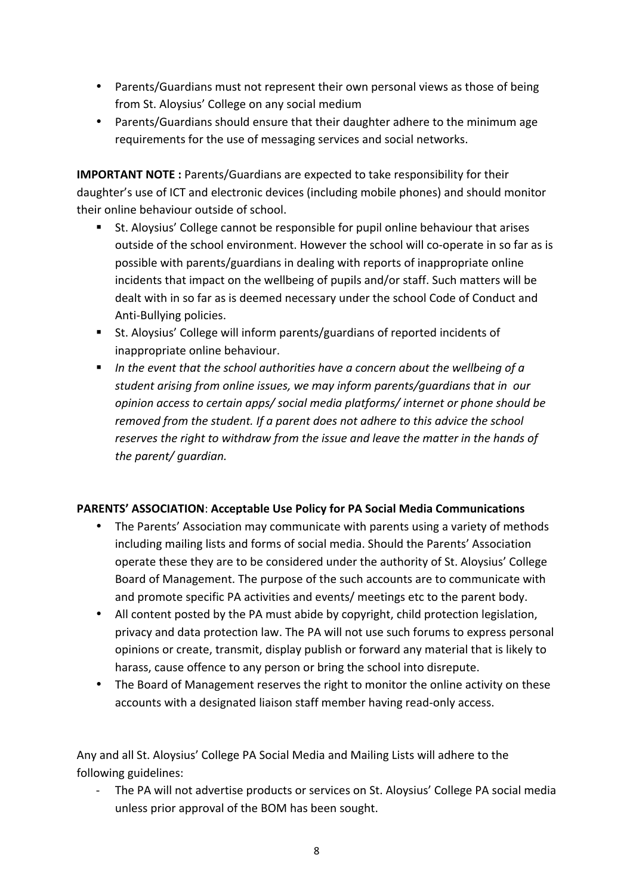- Parents/Guardians must not represent their own personal views as those of being from St. Aloysius' College on any social medium
- Parents/Guardians should ensure that their daughter adhere to the minimum age requirements for the use of messaging services and social networks.

**IMPORTANT NOTE**: Parents/Guardians are expected to take responsibility for their daughter's use of ICT and electronic devices (including mobile phones) and should monitor their online behaviour outside of school.

- St. Aloysius' College cannot be responsible for pupil online behaviour that arises outside of the school environment. However the school will co-operate in so far as is possible with parents/guardians in dealing with reports of inappropriate online incidents that impact on the wellbeing of pupils and/or staff. Such matters will be dealt with in so far as is deemed necessary under the school Code of Conduct and Anti-Bullying policies.
- St. Aloysius' College will inform parents/guardians of reported incidents of inappropriate online behaviour.
- **•** In the event that the school authorities have a concern about the wellbeing of a student arising from online issues, we may inform parents/quardians that in our *opinion* access to certain apps/ social media platforms/ internet or phone should be *removed from the student. If a parent does not adhere to this advice the school* reserves the right to withdraw from the *issue* and leave the matter in the hands of *the parent/ quardian.*

#### PARENTS' ASSOCIATION: Acceptable Use Policy for PA Social Media Communications

- The Parents' Association may communicate with parents using a variety of methods including mailing lists and forms of social media. Should the Parents' Association operate these they are to be considered under the authority of St. Aloysius' College Board of Management. The purpose of the such accounts are to communicate with and promote specific PA activities and events/ meetings etc to the parent body.
- All content posted by the PA must abide by copyright, child protection legislation, privacy and data protection law. The PA will not use such forums to express personal opinions or create, transmit, display publish or forward any material that is likely to harass, cause offence to any person or bring the school into disrepute.
- The Board of Management reserves the right to monitor the online activity on these accounts with a designated liaison staff member having read-only access.

Any and all St. Aloysius' College PA Social Media and Mailing Lists will adhere to the following guidelines:

The PA will not advertise products or services on St. Aloysius' College PA social media unless prior approval of the BOM has been sought.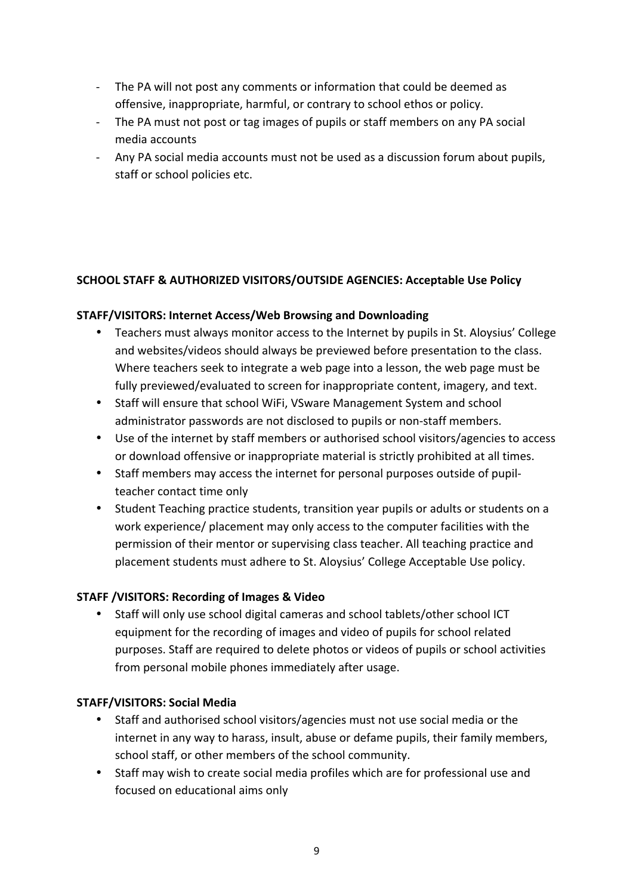- The PA will not post any comments or information that could be deemed as offensive, inappropriate, harmful, or contrary to school ethos or policy.
- The PA must not post or tag images of pupils or staff members on any PA social media accounts
- Any PA social media accounts must not be used as a discussion forum about pupils, staff or school policies etc.

#### **SCHOOL STAFF & AUTHORIZED VISITORS/OUTSIDE AGENCIES: Acceptable Use Policy**

#### **STAFF/VISITORS: Internet Access/Web Browsing and Downloading**

- Teachers must always monitor access to the Internet by pupils in St. Aloysius' College and websites/videos should always be previewed before presentation to the class. Where teachers seek to integrate a web page into a lesson, the web page must be fully previewed/evaluated to screen for inappropriate content, imagery, and text.
- Staff will ensure that school WiFi, VSware Management System and school administrator passwords are not disclosed to pupils or non-staff members.
- Use of the internet by staff members or authorised school visitors/agencies to access or download offensive or inappropriate material is strictly prohibited at all times.
- Staff members may access the internet for personal purposes outside of pupilteacher contact time only
- Student Teaching practice students, transition year pupils or adults or students on a work experience/ placement may only access to the computer facilities with the permission of their mentor or supervising class teacher. All teaching practice and placement students must adhere to St. Aloysius' College Acceptable Use policy.

#### **STAFF /VISITORS: Recording of Images & Video**

Staff will only use school digital cameras and school tablets/other school ICT equipment for the recording of images and video of pupils for school related purposes. Staff are required to delete photos or videos of pupils or school activities from personal mobile phones immediately after usage.

#### **STAFF/VISITORS: Social Media**

- Staff and authorised school visitors/agencies must not use social media or the internet in any way to harass, insult, abuse or defame pupils, their family members, school staff, or other members of the school community.
- Staff may wish to create social media profiles which are for professional use and focused on educational aims only